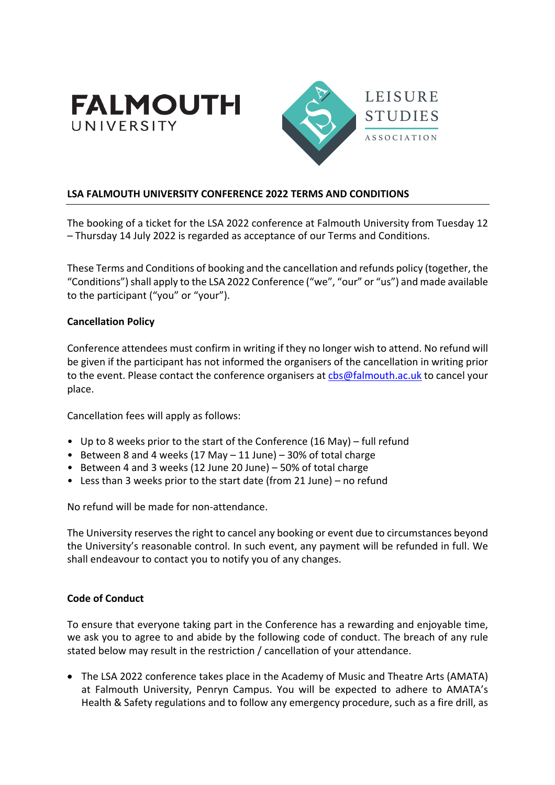



## **LSA FALMOUTH UNIVERSITY CONFERENCE 2022 TERMS AND CONDITIONS**

The booking of a ticket for the LSA 2022 conference at Falmouth University from Tuesday 12 – Thursday 14 July 2022 is regarded as acceptance of our Terms and Conditions.

These Terms and Conditions of booking and the cancellation and refunds policy (together, the "Conditions") shall apply to the LSA 2022 Conference ("we", "our" or "us") and made available to the participant ("you" or "your").

#### **Cancellation Policy**

Conference attendees must confirm in writing if they no longer wish to attend. No refund will be given if the participant has not informed the organisers of the cancellation in writing prior to the event. Please contact the conference organisers at cbs@falmouth.ac.uk to cancel your place.

Cancellation fees will apply as follows:

- Up to 8 weeks prior to the start of the Conference (16 May) full refund
- Between 8 and 4 weeks (17 May 11 June) 30% of total charge
- Between 4 and 3 weeks (12 June 20 June) 50% of total charge
- Less than 3 weeks prior to the start date (from 21 June) no refund

No refund will be made for non-attendance.

The University reserves the right to cancel any booking or event due to circumstances beyond the University's reasonable control. In such event, any payment will be refunded in full. We shall endeavour to contact you to notify you of any changes.

### **Code of Conduct**

To ensure that everyone taking part in the Conference has a rewarding and enjoyable time, we ask you to agree to and abide by the following code of conduct. The breach of any rule stated below may result in the restriction / cancellation of your attendance.

• The LSA 2022 conference takes place in the Academy of Music and Theatre Arts (AMATA) at Falmouth University, Penryn Campus. You will be expected to adhere to AMATA's Health & Safety regulations and to follow any emergency procedure, such as a fire drill, as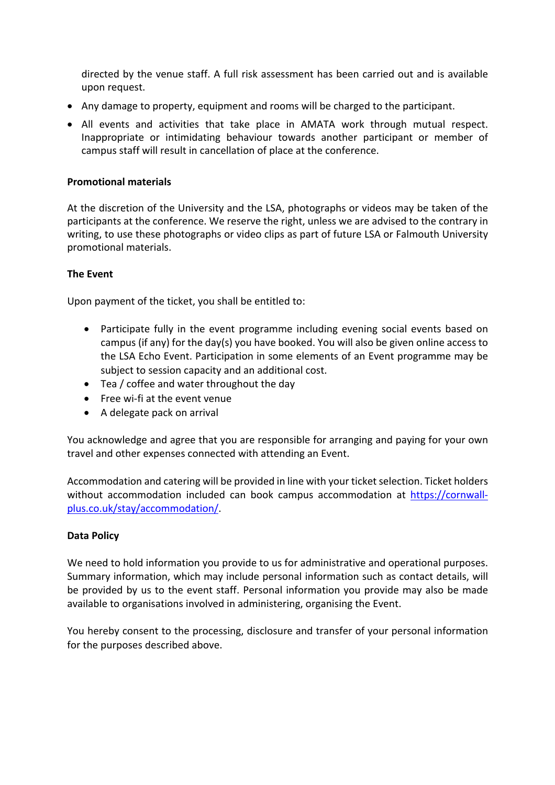directed by the venue staff. A full risk assessment has been carried out and is available upon request.

- Any damage to property, equipment and rooms will be charged to the participant.
- All events and activities that take place in AMATA work through mutual respect. Inappropriate or intimidating behaviour towards another participant or member of campus staff will result in cancellation of place at the conference.

#### **Promotional materials**

At the discretion of the University and the LSA, photographs or videos may be taken of the participants at the conference. We reserve the right, unless we are advised to the contrary in writing, to use these photographs or video clips as part of future LSA or Falmouth University promotional materials.

## **The Event**

Upon payment of the ticket, you shall be entitled to:

- Participate fully in the event programme including evening social events based on campus (if any) for the day(s) you have booked. You will also be given online access to the LSA Echo Event. Participation in some elements of an Event programme may be subject to session capacity and an additional cost.
- Tea / coffee and water throughout the day
- Free wi-fi at the event venue
- A delegate pack on arrival

You acknowledge and agree that you are responsible for arranging and paying for your own travel and other expenses connected with attending an Event.

Accommodation and catering will be provided in line with your ticket selection. Ticket holders without accommodation included can book campus accommodation at https://cornwallplus.co.uk/stay/accommodation/.

# **Data Policy**

We need to hold information you provide to us for administrative and operational purposes. Summary information, which may include personal information such as contact details, will be provided by us to the event staff. Personal information you provide may also be made available to organisations involved in administering, organising the Event.

You hereby consent to the processing, disclosure and transfer of your personal information for the purposes described above.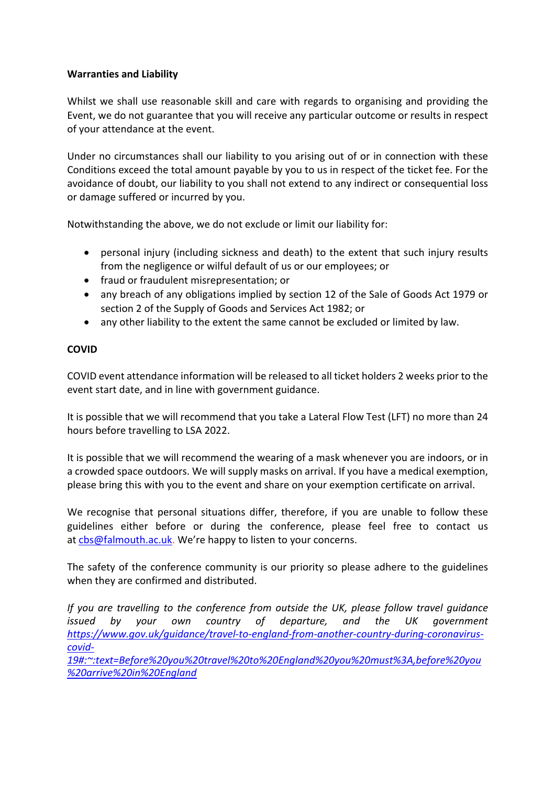# **Warranties and Liability**

Whilst we shall use reasonable skill and care with regards to organising and providing the Event, we do not guarantee that you will receive any particular outcome or results in respect of your attendance at the event.

Under no circumstances shall our liability to you arising out of or in connection with these Conditions exceed the total amount payable by you to us in respect of the ticket fee. For the avoidance of doubt, our liability to you shall not extend to any indirect or consequential loss or damage suffered or incurred by you.

Notwithstanding the above, we do not exclude or limit our liability for:

- personal injury (including sickness and death) to the extent that such injury results from the negligence or wilful default of us or our employees; or
- fraud or fraudulent misrepresentation; or
- any breach of any obligations implied by section 12 of the Sale of Goods Act 1979 or section 2 of the Supply of Goods and Services Act 1982; or
- any other liability to the extent the same cannot be excluded or limited by law.

## **COVID**

COVID event attendance information will be released to all ticket holders 2 weeks prior to the event start date, and in line with government guidance.

It is possible that we will recommend that you take a Lateral Flow Test (LFT) no more than 24 hours before travelling to LSA 2022.

It is possible that we will recommend the wearing of a mask whenever you are indoors, or in a crowded space outdoors. We will supply masks on arrival. If you have a medical exemption, please bring this with you to the event and share on your exemption certificate on arrival.

We recognise that personal situations differ, therefore, if you are unable to follow these guidelines either before or during the conference, please feel free to contact us at cbs@falmouth.ac.uk. We're happy to listen to your concerns.

The safety of the conference community is our priority so please adhere to the guidelines when they are confirmed and distributed.

*If you are travelling to the conference from outside the UK, please follow travel guidance issued by your own country of departure, and the UK government https://www.gov.uk/guidance/travel-to-england-from-another-country-during-coronaviruscovid-*

*19#:~:text=Before%20you%20travel%20to%20England%20you%20must%3A,before%20you %20arrive%20in%20England*